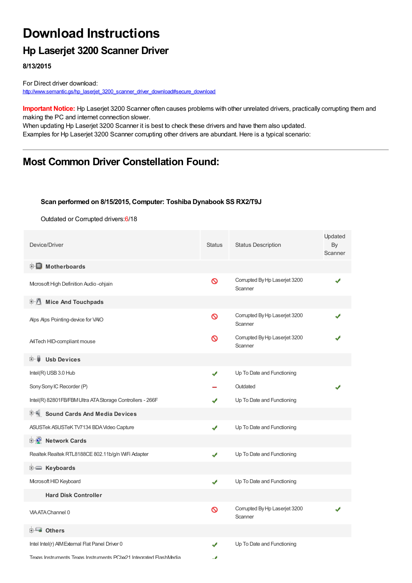# **Download Instructions**

## **Hp Laserjet 3200 Scanner Driver**

**8/13/2015**

For Direct driver download: [http://www.semantic.gs/hp\\_laserjet\\_3200\\_scanner\\_driver\\_download#secure\\_download](http://www.semantic.gs/hp_laserjet_3200_scanner_driver_download#secure_download)

**Important Notice:** Hp Laserjet 3200 Scanner often causes problems with other unrelated drivers, practically corrupting them and making the PC and internet connection slower.

When updating Hp Laserjet 3200 Scanner it is best to check these drivers and have them also updated. Examples for Hp Laserjet 3200 Scanner corrupting other drivers are abundant. Here is a typical scenario:

## **Most Common Driver Constellation Found:**

#### **Scan performed on 8/15/2015, Computer: Toshiba Dynabook SS RX2/T9J**

Outdated or Corrupted drivers:6/18

| Device/Driver                                                     | <b>Status</b> | <b>Status Description</b>                | Updated<br>By<br>Scanner |  |
|-------------------------------------------------------------------|---------------|------------------------------------------|--------------------------|--|
| <b>E</b> Motherboards                                             |               |                                          |                          |  |
| Mcrosoft High Definition Audio-ohjain                             | Ø             | Corrupted By Hp Laserjet 3200<br>Scanner |                          |  |
| 中心 Mice And Touchpads                                             |               |                                          |                          |  |
| Alps Alps Pointing-device for VAIO                                | ଷ             | Corrupted By Hp Laserjet 3200<br>Scanner |                          |  |
| A4Tech HID-compliant mouse                                        | ∾             | Corrupted By Hp Laserjet 3200<br>Scanner |                          |  |
| <b>Usb Devices</b><br>⊞‴U                                         |               |                                          |                          |  |
| Intel(R) USB 3.0 Hub                                              | J             | Up To Date and Functioning               |                          |  |
| Sony Sony IC Recorder (P)                                         |               | Outdated                                 |                          |  |
| Intel(R) 82801FB/FBM Ultra ATA Storage Controllers - 266F         |               | Up To Date and Functioning               |                          |  |
| <b>Sound Cards And Media Devices</b>                              |               |                                          |                          |  |
| ASUSTek ASUSTeK TV7134 BDA Video Capture                          | ✔             | Up To Date and Functioning               |                          |  |
| <b>E</b> Network Cards                                            |               |                                          |                          |  |
| Realtek Realtek RTL8188CE 802.11b/g/n WiFi Adapter                | ✔             | Up To Date and Functioning               |                          |  |
| <b>i Keyboards</b>                                                |               |                                          |                          |  |
| Microsoft HID Keyboard                                            | ✔             | Up To Date and Functioning               |                          |  |
| <b>Hard Disk Controller</b>                                       |               |                                          |                          |  |
| <b>VIA ATA Channel 0</b>                                          | ଷ             | Corrupted By Hp Laserjet 3200<br>Scanner |                          |  |
| <b>E</b> Others                                                   |               |                                          |                          |  |
| Intel Intel(r) AIM External Flat Panel Driver 0                   |               | Up To Date and Functioning               |                          |  |
| Texas Instruments Texas Instruments PCIxx21 Integrated FlashMedia | ٠,            |                                          |                          |  |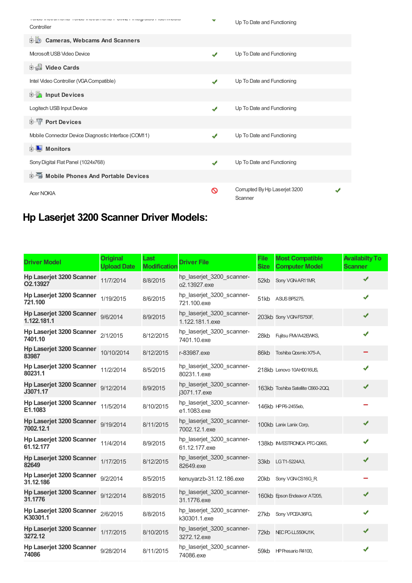| TUNG ITION I DURATE TERMINO I DURATE DE LA CAPITALIZIA DE DISPONER<br>Controller | v            | Up To Date and Functioning               |
|----------------------------------------------------------------------------------|--------------|------------------------------------------|
| D-10<br><b>Cameras, Webcams And Scanners</b>                                     |              |                                          |
| Microsoft USB Video Device                                                       | ✔            | Up To Date and Functioning               |
| <b>中書 Video Cards</b>                                                            |              |                                          |
| Intel Video Controller (VGA Compatible)                                          | $\checkmark$ | Up To Date and Functioning               |
| <b>E</b> Input Devices                                                           |              |                                          |
| Logitech USB Input Device                                                        | ✔            | Up To Date and Functioning               |
| <b>E-TP</b> Port Devices                                                         |              |                                          |
| Mobile Connector Device Diagnostic Interface (COM11)                             | ✔            | Up To Date and Functioning               |
| <b>Monitors</b><br>田山                                                            |              |                                          |
| Sony Digital Flat Panel (1024x768)                                               | $\checkmark$ | Up To Date and Functioning               |
| <b>Devices</b> Mobile Phones And Portable Devices                                |              |                                          |
| <b>Acer NOKIA</b>                                                                | ര            | Corrupted By Hp Laserjet 3200<br>Scanner |

# **Hp Laserjet 3200 Scanner Driver Models:**

| <b>Driver Model</b>                          | <b>Original</b><br><b>Upload Date</b> | Last<br><b>Modification</b> | <b>Driver File</b>                           | <b>File</b><br><b>Size</b> | <b>Most Compatible</b><br><b>Computer Model</b> | <b>Availabilty To</b><br><b>Scanner</b> |
|----------------------------------------------|---------------------------------------|-----------------------------|----------------------------------------------|----------------------------|-------------------------------------------------|-----------------------------------------|
| <b>Hp Laserjet 3200 Scanner</b><br>O2.13927  | 11/7/2014                             | 8/8/2015                    | hp laserjet 3200 scanner-<br>o2.13927.exe    | 52kb                       | Sony VGN-AR11MR,                                | J                                       |
| Hp Laserjet 3200 Scanner<br>721.100          | 1/19/2015                             | 8/6/2015                    | hp_laserjet_3200_scanner-<br>721.100.exe     |                            | 51kb ASUS BP5275,                               |                                         |
| Hp Laserjet 3200 Scanner<br>1.122.181.1      | 9/6/2014                              | 8/9/2015                    | hp_laserjet_3200_scanner-<br>1.122.181.1.exe |                            | 203kb Sony VGN-FS750F,                          |                                         |
| Hp Laserjet 3200 Scanner<br>7401.10          | 2/1/2015                              | 8/12/2015                   | hp_laserjet_3200_scanner-<br>7401.10.exe     | 28kb                       | Fujitsu FMVA42EWKS,                             |                                         |
| Hp Laserjet 3200 Scanner<br>83987            | 10/10/2014                            | 8/12/2015                   | r-83987.exe                                  | 86kb                       | Toshiba Qosmio X75-A,                           |                                         |
| Hp Laserjet 3200 Scanner<br>80231.1          | 11/2/2014                             | 8/5/2015                    | hp_laserjet_3200_scanner-<br>80231.1.exe     |                            | 218kb Lenovo 10AH0016US,                        |                                         |
| Hp Laserjet 3200 Scanner<br>J3071.17         | 9/12/2014                             | 8/9/2015                    | hp_laserjet_3200_scanner-<br>j3071.17.exe    |                            | 163kb Toshiba Satellite C660-2QQ,               | ✔                                       |
| Hp Laserjet 3200 Scanner<br>E1.1083          | 11/5/2014                             | 8/10/2015                   | hp_laserjet_3200_scanner-<br>e1.1083.exe     |                            | 146kb HPP6-2455eb,                              |                                         |
| <b>Hp Laserjet 3200 Scanner</b><br>7002.12.1 | 9/19/2014                             | 8/11/2015                   | hp laserjet 3200 scanner-<br>7002.12.1.exe   |                            | 100kb Lanix Lanix Corp.                         |                                         |
| Hp Laserjet 3200 Scanner<br>61.12.177        | 11/4/2014                             | 8/9/2015                    | hp_laserjet_3200_scanner-<br>61.12.177.exe   |                            | 138kb INVESTRONICA PTC-Q965,                    |                                         |
| Hp Laserjet 3200 Scanner<br>82649            | 1/17/2015                             | 8/12/2015                   | hp_laserjet_3200_scanner-<br>82649.exe       | 33kb                       | LG T1-5224A3,                                   | ✔                                       |
| <b>Hp Laserjet 3200 Scanner</b><br>31.12.186 | 9/2/2014                              | 8/5/2015                    | kenuyarzb-31.12.186.exe                      | 20kb                       | Sony VGN-CS16G_R                                |                                         |
| Hp Laserjet 3200 Scanner<br>31.1776          | 9/12/2014                             | 8/8/2015                    | hp_laserjet_3200_scanner-<br>31.1776.exe     |                            | 160kb Epson Endeavor AT205,                     | J                                       |
| Hp Laserjet 3200 Scanner<br>K30301.1         | 2/6/2015                              | 8/8/2015                    | hp_laserjet_3200_scanner-<br>k30301.1.exe    | 27kb                       | Sony VPCEA36FG,                                 | ✔                                       |
| Hp Laserjet 3200 Scanner<br>3272.12          | 1/17/2015                             | 8/10/2015                   | hp_laserjet_3200_scanner-<br>3272.12.exe     | 72kb                       | NEC PC-LL550KJ1K                                | J                                       |
| Hp Laserjet 3200 Scanner<br>74086            | 9/28/2014                             | 8/11/2015                   | hp_laserjet_3200_scanner-<br>74086.exe       | 59kb                       | HP Presario R4100,                              |                                         |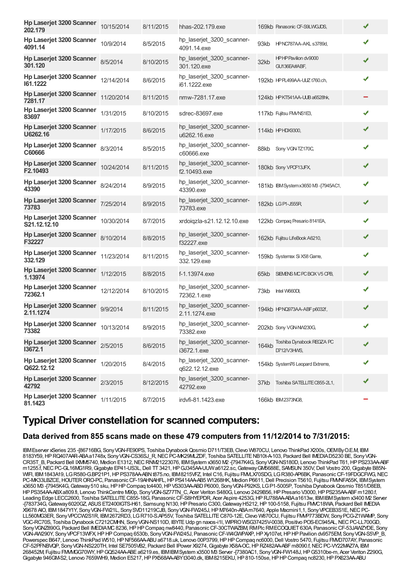| Hp Laserjet 3200 Scanner<br>202.179         | 10/15/2014 | 8/11/2015 | hhas-202.179.exe                            |       | 169kb Panasonic CF-S9LWGJDS,             | ✔ |  |
|---------------------------------------------|------------|-----------|---------------------------------------------|-------|------------------------------------------|---|--|
| Hp Laserjet 3200 Scanner<br>4091.14         | 10/9/2014  | 8/5/2015  | hp_laserjet_3200_scanner-<br>4091.14.exe    | 93kb  | HPNC787AA-AKL s3789d,                    | ✔ |  |
| Hp Laserjet 3200 Scanner<br>301.120         | 8/5/2014   | 8/10/2015 | hp_laserjet_3200_scanner-<br>301.120.exe    | 32kb  | HPHP Pavilion dv9000<br>GU136EA#ABF,     | ✔ |  |
| Hp Laserjet 3200 Scanner<br>161.1222        | 12/14/2014 | 8/6/2015  | hp_laserjet_3200_scanner-<br>i61.1222.exe   |       | 192kb HPPL499AA-UUZ t760.ch,             | ✔ |  |
| Hp Laserjet 3200 Scanner<br>7281.17         | 11/20/2014 | 8/11/2015 | nmw-7281.17.exe                             |       | 124kb HPKT541AA-UUB a6528hk,             |   |  |
| Hp Laserjet 3200 Scanner<br>83697           | 1/31/2015  | 8/10/2015 | sdrec-83697.exe                             |       | 117kb Fujitsu FM/NS1E3,                  | ✔ |  |
| Hp Laserjet 3200 Scanner<br>U6262.16        | 1/17/2015  | 8/6/2015  | hp_laserjet_3200_scanner-<br>u6262.16.exe   |       | 114kb HPHDX9300,                         | ✔ |  |
| Hp Laserjet 3200 Scanner<br>C60666          | 8/3/2014   | 8/5/2015  | hp_laserjet_3200_scanner-<br>c60666.exe     |       | 88kb Sony VGN-TZ170C,                    | ✔ |  |
| <b>Hp Laserjet 3200 Scanner</b><br>F2.10493 | 10/24/2014 | 8/11/2015 | hp laserjet 3200 scanner-<br>f2.10493.exe   |       | 180kb Sony VPCF13JFX,                    | √ |  |
| Hp Laserjet 3200 Scanner<br>43390           | 8/24/2014  | 8/9/2015  | hp_laserjet_3200_scanner-<br>43390.exe      |       | 181kb IBMSystemx3650 M3-[7945AC1,        | ✔ |  |
| Hp Laserjet 3200 Scanner<br>73783           | 7/25/2014  | 8/9/2015  | hp_laserjet_3200_scanner-<br>73783.exe      |       | 182kb LGP1-J555R                         | ✔ |  |
| Hp Laserjet 3200 Scanner<br>S21.12.12.10    | 10/30/2014 | 8/7/2015  | xrdoiqzla-s21.12.12.10.exe                  |       | 122kb Compaq Presario 8141EA,            | ✔ |  |
| Hp Laserjet 3200 Scanner<br>F32227          | 8/10/2014  | 8/8/2015  | hp_laserjet_3200_scanner-<br>f32227.exe     |       | 162kb Fujitsu LifeBook A6210,            | ✔ |  |
| <b>Hp Laserjet 3200 Scanner</b><br>332.129  | 11/23/2014 | 8/11/2015 | hp_laserjet_3200_scanner-<br>332.129.exe    |       | 159kb Systemax Si X58 Game,              | ✔ |  |
| <b>Hp Laserjet 3200 Scanner</b><br>1.13974  | 1/12/2015  | 8/8/2015  | f-1.13974.exe                               | 65kb  | SIEMENS MC PC BOX V5 CPB,                | ✔ |  |
| Hp Laserjet 3200 Scanner<br>72362.1         | 12/12/2014 | 8/10/2015 | hp_laserjet_3200_scanner-<br>72362.1.exe    | 73kb  | Intel W660DI.                            | ✔ |  |
| Hp Laserjet 3200 Scanner<br>2.11.1274       | 9/9/2014   | 8/11/2015 | hp laserjet 3200 scanner-<br>2.11.1274.exe  |       | 194kb HPNQ973AA-ABF p6032f,              | ✔ |  |
| Hp Laserjet 3200 Scanner<br>73382           | 10/13/2014 | 8/9/2015  | hp_laserjet_3200_scanner-<br>73382.exe      |       | 202kb Sony VGN-NW230G,                   | ✔ |  |
| Hp Laserjet 3200 Scanner<br>13672.1         | 2/5/2015   | 8/6/2015  | hp_laserjet_3200_scanner-<br>i3672.1.exe    | 164kb | Toshiba Dynabook REGZA PC<br>D712/V3HWS, |   |  |
| Hp Laserjet 3200 Scanner<br>Q622.12.12      | 1/20/2015  | 8/4/2015  | hp_laserjet_3200_scanner-<br>q622.12.12.exe |       | 154kb System76 Leopard Extreme,          | ✔ |  |
| Hp Laserjet 3200 Scanner<br>42792           | 2/3/2015   | 8/12/2015 | hp_laserjet_3200_scanner-<br>42792.exe      |       | 37kb Toshiba SATELLITE C855-2L1,         |   |  |
| Hp Laserjet 3200 Scanner<br>81.1423         | 1/11/2015  | 8/7/2015  | irdvfi-81.1423.exe                          |       | 166kb IBM2373NG8,                        |   |  |

## **Typical Driver constellation for scanned computers:**

#### **Data derived from 855 scans made on these 479 computers from 11/12/2014 to 7/31/2015:**

IBMEserver xSeries 235-[86716BG, Sony VGN-FE90PS, Toshiba Dynabook Qosmio D711/T3EB, Clevo W870CU, Lenovo ThinkPad X200s, OEMBy O.E.M, IBM 8183Y59, HP RQ407AAR-ABAa1748x, Sony VGN-CS36SJ\_R, NEC PC-MK29MLZDF, Toshiba SATELLITE NB10t-A-103, Packard Bell IMEDIAD5230 BE, Sony VGN-CR35T\_B, Packard Bell IXMM5740, Medion E1312,NECRNM21223076, IBMSystem x3650 M2 -[7947K4G, SonyVGN-NS180D, Lenovo ThinkPad T61,HPPS233AA-ABF m1255.f, NEC PC-GL16MG1R9, Gigabyte EP41-US3L, Dell TT 3421, HP GJ345AA-UUW a6122.sc, Gateway GM5688E, SAMSUN 350V, Dell Vostro 200, Gigabyte B85N-WIFI, IBM1843A19, LGR580-G.BP21P1, HP PS378AA-ABN t875.no, IBM8215VFZ, Intel C16, Fujitsu FMLX70SDG, LGR380-AP6BK, Panasonic CF-19FDGCFWG, NEC PC-MK33LBZCE, HOUTER ORO-PC, Panasonic CF-19AHNAHFL, HP PS414AA-AB5 W1268HK, Medion P6611, Dell Precision T5610, Fujitsu FMMFA55K, IBMSystem x3650 M3 -[7945K4G,Gateway510 sku,HPHPCompaq tc4400,HPVS303AA-ABDP6000, SonyVGN-P92KS, LGP1-5005P, Toshiba DynabookQosmio T851/D8EB, HPPS354AA-ABXa809.fi, Lenovo ThinkCentre M90p, SonyVGN-SZ77TN\_C, Acer Veriton S480G, Lenovo 2429B56,HPPresario V3000,HPPS235AA-ABFm1280.f, Leading Edge LECC2600, Toshiba SATELLITEC855-18G, PanasonicCF-S8HYEPDR, Acer Aspire 4253G,HPRJ788AA-ABAa1613w, IBMIBMSystem x3400 M2 Server -[783734G,Gateway6020GZ, ASUSET2400IGTS-H61, Samsung N130,HPPresario C300,GatewayH5212,HP100-5158, Fujitsu FMVC18WA, Packard Bell IMEDIA X9678 AIO, IBM1847Y1Y, SonyVGN-FW21L, SonySVD11219CJB, SonyVGN-FW245J,HPM7640n-ABAm7640, Apple Macmini1,1, SonyVPCEB3S1E,NECPC-LL560MG3ER, SonyVPCCW2S1R, IBM2672RD3, LGR710-S.AP55V, Toshiba SATELLITEC870-12E,Clevo W870CU, Fujitsu FMVP773BDW, SonyPCG-Z1WAMP, Sony VGC-RC70S, Toshiba Dynabook C7212CMHN, Sony VGN-NS110D, IBYTE Udp gn naxos-i1l, WIPRO WSG37425V-0038, Positivo POS-EC945AL, NEC PC-LL700GD, Sony VGNZ890G, Packard Bell IMEDIAMC 8236, HP HP Compaq nw8440, Panasonic CF-30CTWAZBM, RMPIc RMECOQUIET 630A, Panasonic CF-53JAWZYDE, Sony VGN-AW290Y, SonyVPCF13WFX,HPHPCompaq 6530b, SonyVGN-FW245J, PanasonicCF-W4GWPAXP,HPXy107et,HPHPPavilion dv9575EM, SonyVGN-S5VP\_B, Powerspec B647, Lenovo ThinkPad W510, HP NF566AA-ABU a6718.uk, Lenovo 00P3799, HP HP Compaq nc6000, Dell Vostro 5470, Fujitsu FMO707AY, Panasonic CF-52PFNBVQP, SonyVGN-NS220TH, Intel SE7505VB2, Packard Bell IPower X9274,Gigabyte X58A-OC,HPRZ482AA-ABFm8090.f,NECPC-VY22MAZ7A, IBM 268452M, Fujitsu FMVMGG70WY,HPGQ524AA-ABEa6219.es, IBMIBMSystem x3500 M3 Server -[7380AC1, SonyVGN-FW148J,HPG5310be-m, Acer Veriton Z290G, Gigabyte 946GM-S2, Lenovo 7659WH9, Medion E5217, HP PX568AA-ABYt3040.dk, IBM8215EKU, HP 810-150se, HP HP Compaq nc8230, HP PX623AA-ABU